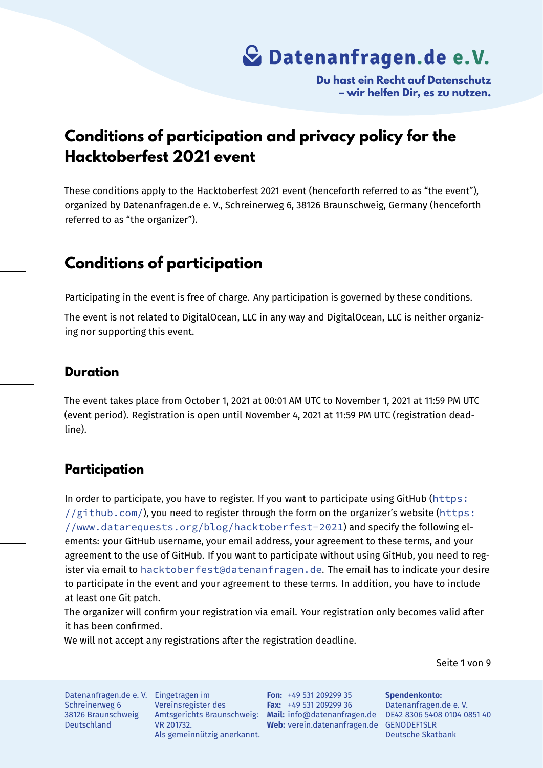**Du hast ein Recht auf Datenschutz – wir helfen Dir, es zu nutzen.**

## **Conditions of participation and privacy policy for the Hacktoberfest 2021 event**

These conditions apply to the Hacktoberfest 2021 event (henceforth referred to as "the event"), organized by Datenanfragen.de e. V., Schreinerweg 6, 38126 Braunschweig, Germany (henceforth referred to as "the organizer").

### **Conditions of participation**

Participating in the event is free of charge. Any participation is governed by these conditions.

The event is not related to DigitalOcean, LLC in any way and DigitalOcean, LLC is neither organizing nor supporting this event.

#### **Duration**

The event takes place from October 1, 2021 at 00:01 AM UTC to November 1, 2021 at 11:59 PM UTC (event period). Registration is open until November 4, 2021 at 11:59 PM UTC (registration deadline).

### **Participation**

In order to participate, you have to register. If you want to participate using GitHub (https:  $1/(github.com)$ , you need to register through the form on the organizer's website (https: //www.datarequests.org/blog/hacktoberfest-2021) and specify the following elements: your GitHub username, your email address, your agreement to these terms, [and you](https://github.com/)r [agreement to the u](https://github.com/)se of GitHub. If you want to participate without using GitHub, you [need to re](https://www.datarequests.org/blog/hacktoberfest-2021)gister via email to [hacktoberfest@datenanfragen.de](https://www.datarequests.org/blog/hacktoberfest-2021). The email has to indicate your desire to participate in the event and your agreement to these terms. In addition, you have to include at least one Git patch.

The organizer wil[l confirm your registration via email. Your](mailto:hacktoberfest@datenanfragen.de) registration only becomes valid after it has been confirmed.

We will not accept any registrations after the registration deadline.

Seite 1 von 9

Datenanfragen.de e. V. Eingetragen im Schreinerweg 6 38126 Braunschweig Deutschland

Vereinsregister des VR 201732. Als gemeinnützig anerkannt.

Amtsgerichts Braunschweig: **Mail:** info@datenanfragen.de DE42 8306 5408 0104 0851 40 **Web:** verein.datenanfragen.de GENODEF1SLR **Fon:** +49 531 209299 35 **Fax:** +49 531 209299 36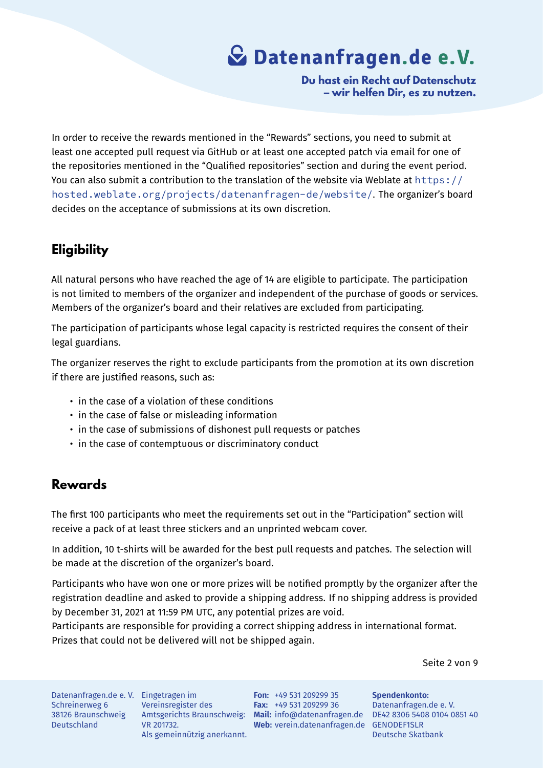**Du hast ein Recht auf Datenschutz – wir helfen Dir, es zu nutzen.**

In order to receive the rewards mentioned in the "Rewards" sections, you need to submit at least one accepted pull request via GitHub or at least one accepted patch via email for one of the repositories mentioned in the "Qualified repositories" section and during the event period. You can also submit a contribution to the translation of the website via Weblate at  $https://$ hosted.weblate.org/projects/datenanfragen-de/website/. The organizer's board decides on the acceptance of submissions at its own discretion.

### **[Eligibility](https://hosted.weblate.org/projects/datenanfragen-de/website/)**

All natural persons who have reached the age of 14 are eligible to participate. The participation is not limited to members of the organizer and independent of the purchase of goods or services. Members of the organizer's board and their relatives are excluded from participating.

The participation of participants whose legal capacity is restricted requires the consent of their legal guardians.

The organizer reserves the right to exclude participants from the promotion at its own discretion if there are justified reasons, such as:

- in the case of a violation of these conditions
- in the case of false or misleading information
- in the case of submissions of dishonest pull requests or patches
- in the case of contemptuous or discriminatory conduct

### **Rewards**

The first 100 participants who meet the requirements set out in the "Participation" section will receive a pack of at least three stickers and an unprinted webcam cover.

In addition, 10 t-shirts will be awarded for the best pull requests and patches. The selection will be made at the discretion of the organizer's board.

Participants who have won one or more prizes will be notified promptly by the organizer after the registration deadline and asked to provide a shipping address. If no shipping address is provided by December 31, 2021 at 11:59 PM UTC, any potential prizes are void.

Participants are responsible for providing a correct shipping address in international format. Prizes that could not be delivered will not be shipped again.

Seite 2 von 9

Datenanfragen.de e. V. Eingetragen im Schreinerweg 6 38126 Braunschweig Deutschland

Vereinsregister des VR 201732. Als gemeinnützig anerkannt.

Amtsgerichts Braunschweig: **Mail:** info@datenanfragen.de DE42 8306 5408 0104 0851 40 **Web:** verein.datenanfragen.de GENODEF1SLR **Fon:** +49 531 209299 35 **Fax:** +49 531 209299 36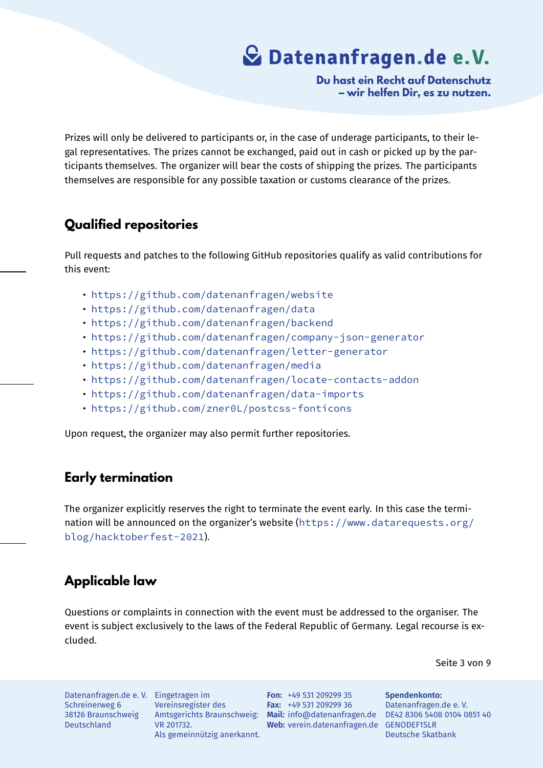**Du hast ein Recht auf Datenschutz – wir helfen Dir, es zu nutzen.**

Prizes will only be delivered to participants or, in the case of underage participants, to their legal representatives. The prizes cannot be exchanged, paid out in cash or picked up by the participants themselves. The organizer will bear the costs of shipping the prizes. The participants themselves are responsible for any possible taxation or customs clearance of the prizes.

### **Qualified repositories**

Pull requests and patches to the following GitHub repositories qualify as valid contributions for this event:

- https://github.com/datenanfragen/website
- https://github.com/datenanfragen/data
- https://github.com/datenanfragen/backend
- [https://github.com/datenanfragen/company-](https://github.com/datenanfragen/website)json-generator
- [https://github.com/datenanfragen/lette](https://github.com/datenanfragen/data)r-generator
- [https://github.com/datenanfragen/media](https://github.com/datenanfragen/backend)
- [https://github.com/datenanfragen/locate-contacts-addon](https://github.com/datenanfragen/company-json-generator)
- [https://github.com/datenanfragen/data-imports](https://github.com/datenanfragen/letter-generator)
- [https://github.com/zner0L/postcss-font](https://github.com/datenanfragen/media)icons

Upon [request, the organizer may also permit further repositories.](https://github.com/datenanfragen/data-imports)

### **Early termination**

The organizer explicitly reserves the right to terminate the event early. In this case the termination will be announced on the organizer's website (https://www.datarequests.org/ blog/hacktoberfest-2021).

### **[Applicable law](https://www.datarequests.org/blog/hacktoberfest-2021)**

Questions or complaints in connection with the event must be addressed to the organiser. The event is subject exclusively to the laws of the Federal Republic of Germany. Legal recourse is excluded.

Seite 3 von 9

Datenanfragen.de e. V. Eingetragen im Schreinerweg 6 38126 Braunschweig Deutschland

Vereinsregister des VR 201732. Als gemeinnützig anerkannt.

Amtsgerichts Braunschweig: **Mail:** info@datenanfragen.de DE42 8306 5408 0104 0851 40 **Web:** verein.datenanfragen.de GENODEF1SLR **Fon:** +49 531 209299 35 **Fax:** +49 531 209299 36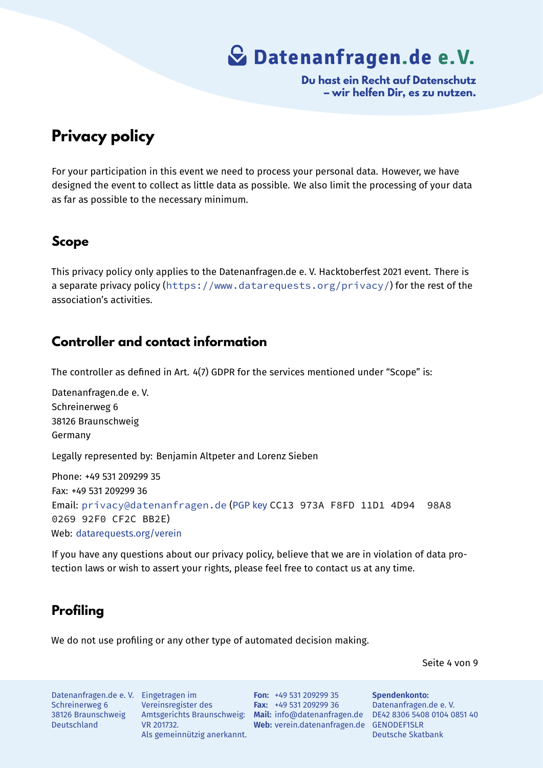**Du hast ein Recht auf Datenschutz – wir helfen Dir, es zu nutzen.**

## **Privacy policy**

For your participation in this event we need to process your personal data. However, we have designed the event to collect as little data as possible. We also limit the processing of your data as far as possible to the necessary minimum.

#### **Scope**

This privacy policy only applies to the Datenanfragen.de e. V. Hacktoberfest 2021 event. There is a separate privacy policy (https://www.datarequests.org/privacy/) for the rest of the association's activities.

#### **Controller and contact information**

The controller as defined in Art. 4(7) GDPR for the services mentioned under "Scope" is:

Datenanfragen.de e. V. Schreinerweg 6 38126 Braunschweig Germany Legally represented by: Benjamin Altpeter and Lorenz Sieben Phone: +49 531 209299 35 Fax: +49 531 209299 36 Email: privacy@datenanfragen.de (PGP key CC13 973A F8FD 11D1 4D94 98A8 0269 92F0 CF2C BB2E) Web: datarequests.org/verein

If you [have any questions about our priv](mailto:privacy@datenanfragen.de)[acy polic](https://www.datenanfragen.de/pgp/CF2CBB2E.asc)y, believe that we are in violation of data protecti[on laws or wish to assert](https://www.datarequests.org/verein) your rights, please feel free to contact us at any time.

### **Profiling**

We do not use profiling or any other type of automated decision making.

Seite 4 von 9

Datenanfragen.de e. V. Eingetragen im Schreinerweg 6 38126 Braunschweig Deutschland

Vereinsregister des VR 201732. Als gemeinnützig anerkannt.

Amtsgerichts Braunschweig: **Mail:** info@datenanfragen.de DE42 8306 5408 0104 0851 40 **Web:** verein.datenanfragen.de GENODEF1SLR **Fon:** +49 531 209299 35 **Fax:** +49 531 209299 36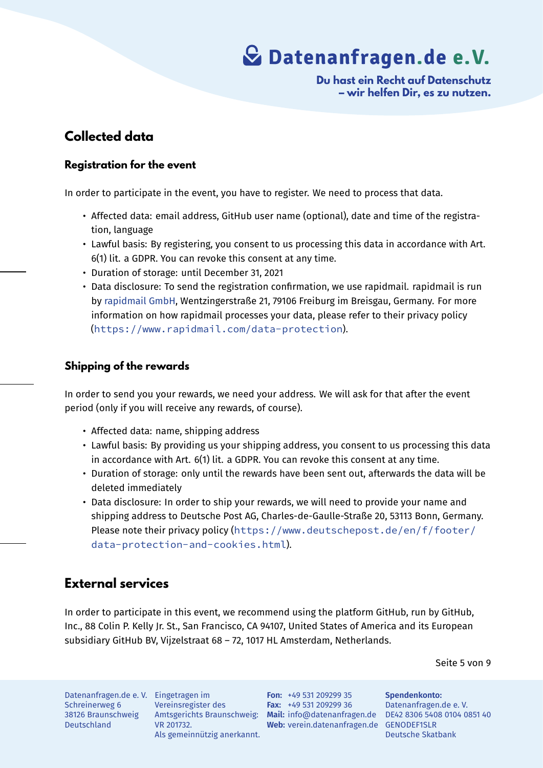**Du hast ein Recht auf Datenschutz – wir helfen Dir, es zu nutzen.**

### **Collected data**

#### **Registration for the event**

In order to participate in the event, you have to register. We need to process that data.

- Affected data: email address, GitHub user name (optional), date and time of the registration, language
- Lawful basis: By registering, you consent to us processing this data in accordance with Art. 6(1) lit. a GDPR. You can revoke this consent at any time.
- Duration of storage: until December 31, 2021
- Data disclosure: To send the registration confirmation, we use rapidmail. rapidmail is run by rapidmail GmbH, Wentzingerstraße 21, 79106 Freiburg im Breisgau, Germany. For more information on how rapidmail processes your data, please refer to their privacy policy (https://www.rapidmail.com/data-protection).

#### **Ship[ping of the rewards](https://www.rapidmail.com/data-protection)**

In order to send you your rewards, we need your address. We will ask for that after the event period (only if you will receive any rewards, of course).

- Affected data: name, shipping address
- Lawful basis: By providing us your shipping address, you consent to us processing this data in accordance with Art. 6(1) lit. a GDPR. You can revoke this consent at any time.
- Duration of storage: only until the rewards have been sent out, afterwards the data will be deleted immediately
- Data disclosure: In order to ship your rewards, we will need to provide your name and shipping address to Deutsche Post AG, Charles-de-Gaulle-Straße 20, 53113 Bonn, Germany. Please note their privacy policy (https://www.deutschepost.de/en/f/footer/ data-protection-and-cookies.html).

### **Ext[ernal services](https://www.deutschepost.de/en/f/footer/data-protection-and-cookies.html)**

In order to participate in this event, we recommend using the platform GitHub, run by GitHub, Inc., 88 Colin P. Kelly Jr. St., San Francisco, CA 94107, United States of America and its European subsidiary GitHub BV, Vijzelstraat 68 – 72, 1017 HL Amsterdam, Netherlands.

Seite 5 von 9

Datenanfragen.de e. V. Eingetragen im Schreinerweg 6 38126 Braunschweig Deutschland

Vereinsregister des VR 201732. Als gemeinnützig anerkannt.

Amtsgerichts Braunschweig: **Mail:** info@datenanfragen.de DE42 8306 5408 0104 0851 40 **Web:** verein.datenanfragen.de GENODEF1SLR **Fon:** +49 531 209299 35 **Fax:** +49 531 209299 36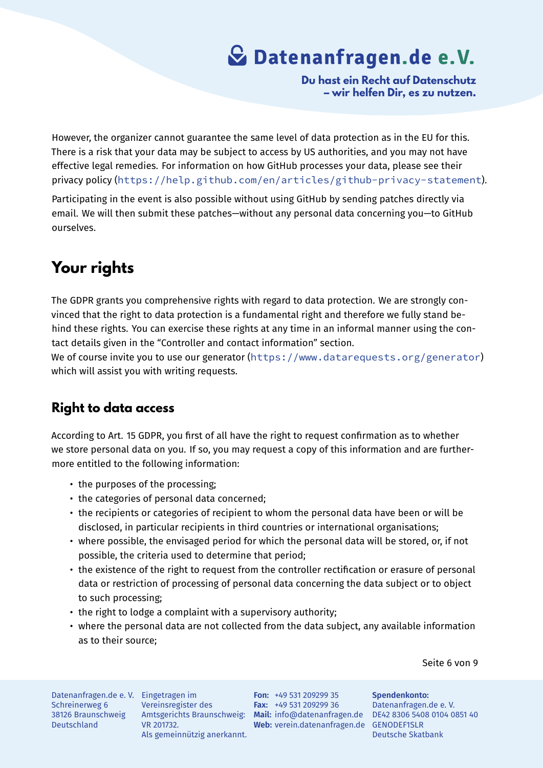**Du hast ein Recht auf Datenschutz – wir helfen Dir, es zu nutzen.**

However, the organizer cannot guarantee the same level of data protection as in the EU for this. There is a risk that your data may be subject to access by US authorities, and you may not have effective legal remedies. For information on how GitHub processes your data, please see their privacy policy (https://help.github.com/en/articles/github-privacy-statement).

Participating in the event is also possible without using GitHub by sending patches directly via email. We will then submit these patches—without any personal data concerning you—to GitHub ourselves.

## **Your rights**

The GDPR grants you comprehensive rights with regard to data protection. We are strongly convinced that the right to data protection is a fundamental right and therefore we fully stand behind these rights. You can exercise these rights at any time in an informal manner using the contact details given in the "Controller and contact information" section.

We of course invite you to use our generator (https://www.datarequests.org/generator) which will assist you with writing requests.

### **Right to data access**

According to Art. 15 GDPR, you first of all have the right to request confirmation as to whether we store personal data on you. If so, you may request a copy of this information and are furthermore entitled to the following information:

- the purposes of the processing;
- the categories of personal data concerned;
- the recipients or categories of recipient to whom the personal data have been or will be disclosed, in particular recipients in third countries or international organisations;
- where possible, the envisaged period for which the personal data will be stored, or, if not possible, the criteria used to determine that period;
- the existence of the right to request from the controller rectification or erasure of personal data or restriction of processing of personal data concerning the data subject or to object to such processing;
- the right to lodge a complaint with a supervisory authority;
- where the personal data are not collected from the data subject, any available information as to their source;

Seite 6 von 9

Datenanfragen.de e. V. Eingetragen im Schreinerweg 6 38126 Braunschweig Deutschland

Vereinsregister des VR 201732. Als gemeinnützig anerkannt.

Amtsgerichts Braunschweig: **Mail:** info@datenanfragen.de DE42 8306 5408 0104 0851 40 **Web:** verein.datenanfragen.de GENODEF1SLR **Fon:** +49 531 209299 35 **Fax:** +49 531 209299 36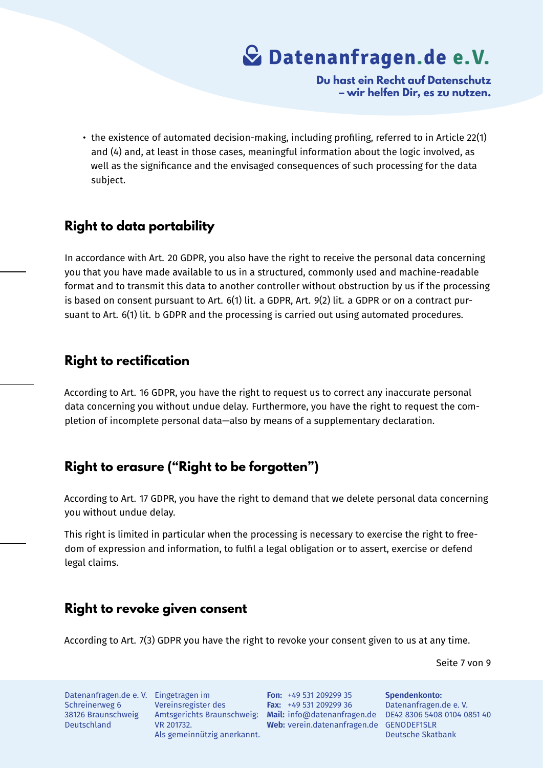**Du hast ein Recht auf Datenschutz – wir helfen Dir, es zu nutzen.**

• the existence of automated decision-making, including profiling, referred to in Article 22(1) and (4) and, at least in those cases, meaningful information about the logic involved, as well as the significance and the envisaged consequences of such processing for the data subject.

#### **Right to data portability**

In accordance with Art. 20 GDPR, you also have the right to receive the personal data concerning you that you have made available to us in a structured, commonly used and machine-readable format and to transmit this data to another controller without obstruction by us if the processing is based on consent pursuant to Art. 6(1) lit. a GDPR, Art. 9(2) lit. a GDPR or on a contract pursuant to Art. 6(1) lit. b GDPR and the processing is carried out using automated procedures.

#### **Right to rectification**

According to Art. 16 GDPR, you have the right to request us to correct any inaccurate personal data concerning you without undue delay. Furthermore, you have the right to request the completion of incomplete personal data—also by means of a supplementary declaration.

#### **Right to erasure ("Right to be forgotten")**

According to Art. 17 GDPR, you have the right to demand that we delete personal data concerning you without undue delay.

This right is limited in particular when the processing is necessary to exercise the right to freedom of expression and information, to fulfil a legal obligation or to assert, exercise or defend legal claims.

#### **Right to revoke given consent**

According to Art. 7(3) GDPR you have the right to revoke your consent given to us at any time.

Seite 7 von 9

Datenanfragen.de e. V. Eingetragen im Schreinerweg 6 38126 Braunschweig Deutschland

Vereinsregister des VR 201732. Als gemeinnützig anerkannt.

Amtsgerichts Braunschweig: **Mail:** info@datenanfragen.de DE42 8306 5408 0104 0851 40 Web: verein.datenanfragen.de GENODEF1SLR **Fon:** +49 531 209299 35 **Fax:** +49 531 209299 36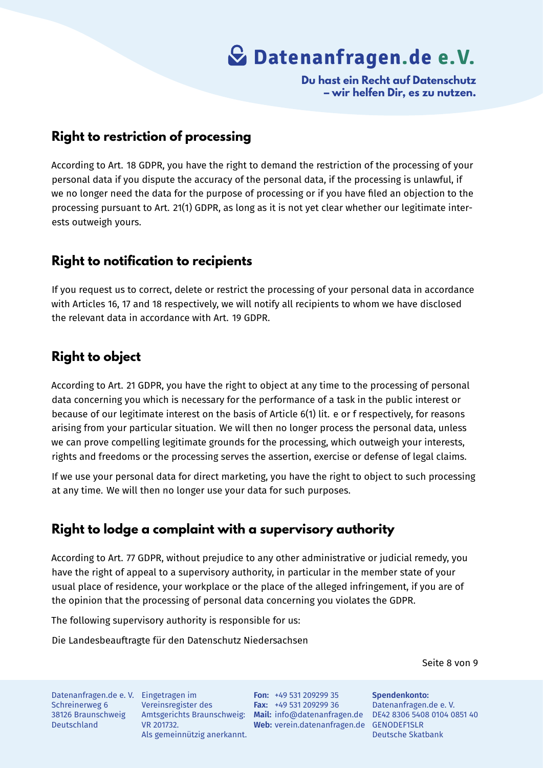

**Du hast ein Recht auf Datenschutz – wir helfen Dir, es zu nutzen.**

#### **Right to restriction of processing**

According to Art. 18 GDPR, you have the right to demand the restriction of the processing of your personal data if you dispute the accuracy of the personal data, if the processing is unlawful, if we no longer need the data for the purpose of processing or if you have filed an objection to the processing pursuant to Art. 21(1) GDPR, as long as it is not yet clear whether our legitimate interests outweigh yours.

#### **Right to notification to recipients**

If you request us to correct, delete or restrict the processing of your personal data in accordance with Articles 16, 17 and 18 respectively, we will notify all recipients to whom we have disclosed the relevant data in accordance with Art. 19 GDPR.

#### **Right to object**

According to Art. 21 GDPR, you have the right to object at any time to the processing of personal data concerning you which is necessary for the performance of a task in the public interest or because of our legitimate interest on the basis of Article 6(1) lit. e or f respectively, for reasons arising from your particular situation. We will then no longer process the personal data, unless we can prove compelling legitimate grounds for the processing, which outweigh your interests, rights and freedoms or the processing serves the assertion, exercise or defense of legal claims.

If we use your personal data for direct marketing, you have the right to object to such processing at any time. We will then no longer use your data for such purposes.

#### **Right to lodge a complaint with a supervisory authority**

According to Art. 77 GDPR, without prejudice to any other administrative or judicial remedy, you have the right of appeal to a supervisory authority, in particular in the member state of your usual place of residence, your workplace or the place of the alleged infringement, if you are of the opinion that the processing of personal data concerning you violates the GDPR.

The following supervisory authority is responsible for us:

Die Landesbeauftragte für den Datenschutz Niedersachsen

Seite 8 von 9

Datenanfragen.de e. V. Eingetragen im Schreinerweg 6 38126 Braunschweig Deutschland

Vereinsregister des VR 201732. Als gemeinnützig anerkannt.

Amtsgerichts Braunschweig: **Mail:** info@datenanfragen.de DE42 8306 5408 0104 0851 40 **Web:** verein.datenanfragen.de GENODEF1SLR **Fon:** +49 531 209299 35 **Fax:** +49 531 209299 36